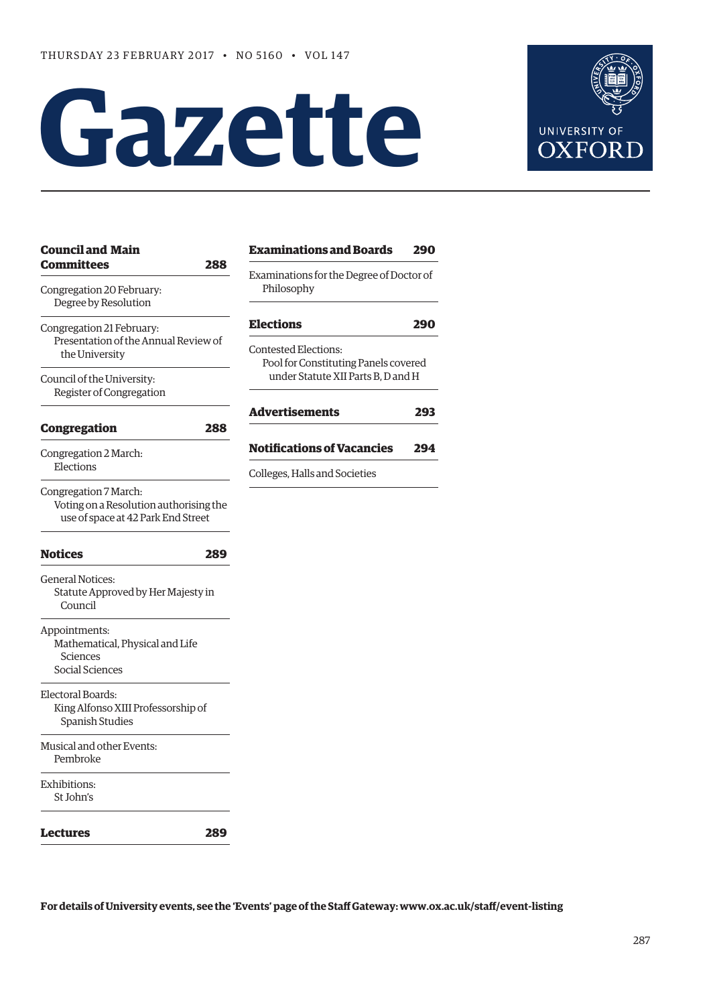# **Gazette**



| <b>Council and Main</b>                                                                               |     | <b>Examinations and Boards</b>                                      | 290 |
|-------------------------------------------------------------------------------------------------------|-----|---------------------------------------------------------------------|-----|
| <b>Committees</b><br>Congregation 20 February:<br>Degree by Resolution                                | 288 | Examinations for the Degree of Doctor of<br>Philosophy              |     |
| Congregation 21 February:                                                                             |     | <b>Elections</b>                                                    | 290 |
| Presentation of the Annual Review of<br>the University                                                |     | <b>Contested Elections:</b><br>Pool for Constituting Panels covered |     |
| Council of the University:<br>Register of Congregation                                                |     | under Statute XII Parts B, D and H                                  |     |
| <b>Congregation</b>                                                                                   | 288 | <b>Advertisements</b>                                               | 293 |
| Congregation 2 March:                                                                                 |     | <b>Notifications of Vacancies</b>                                   | 294 |
| Elections                                                                                             |     | Colleges, Halls and Societies                                       |     |
| Congregation 7 March:<br>Voting on a Resolution authorising the<br>use of space at 42 Park End Street |     |                                                                     |     |
| <b>Notices</b>                                                                                        | 289 |                                                                     |     |
| <b>General Notices:</b><br>Statute Approved by Her Majesty in<br>Council                              |     |                                                                     |     |
| Appointments:<br>Mathematical, Physical and Life<br>Sciences<br>Social Sciences                       |     |                                                                     |     |
| Electoral Boards:<br>King Alfonso XIII Professorship of<br><b>Spanish Studies</b>                     |     |                                                                     |     |
| Musical and other Events:<br>Pembroke                                                                 |     |                                                                     |     |
| Exhibitions:<br>St John's                                                                             |     |                                                                     |     |
| Lectures                                                                                              | 289 |                                                                     |     |

**For details of University events, see the 'Events' page of the Staff Gateway: [www.ox.ac.uk/staff/event-listing](http://www.ox.ac.uk/staff/event-listing)**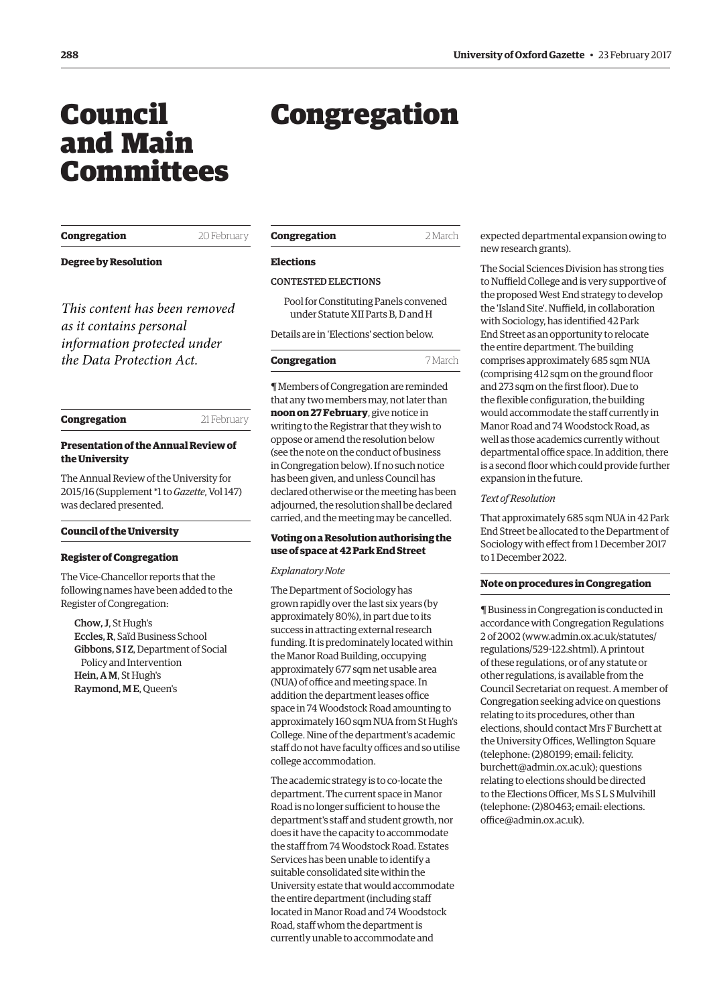# <span id="page-1-0"></span>Council and Main Committees

# **Congregation** 20 February

**Degree by Resolution**

*This content has been removed as it contains personal information protected under the Data Protection Act.*

# **Congregation** 21 February

# **Presentation of the Annual Review of the University**

The Annual Review of the University for 2015/16 [\(Supplement \\*1 to](http://www.ox.ac.uk/about/organisation/annual-review) *Gazette*, Vol 147) was declared presented.

#### **Council of the University**

#### **Register of Congregation**

The Vice-Chancellor reports that the following names have been added to the Register of Congregation:

Chow, J, St Hugh's Eccles, R, Saïd Business School Gibbons, S I Z, Department of Social Policy and Intervention Hein, A M, St Hugh's Raymond, M E, Queen's

| Congregation | 2 March |
|--------------|---------|
|              |         |

Congregation

# **Elections**

# CONTESTED ELECTIONS

Pool for Constituting Panels convened under Statute XII Parts B, D and H

Details are in '[Elections'](#page-3-0) section below.

## **Congregation** 7 March

¶ Members of Congregation are reminded that any two members may, not later than **noon on 27 February**, give notice in writing to the Registrar that they wish to oppose or amend the resolution below (see the note on the conduct of business in Congregation below). If no such notice has been given, and unless Council has declared otherwise or the meeting has been adjourned, the resolution shall be declared carried, and the meeting may be cancelled.

# **Voting on a Resolution authorising the use of space at 42 Park End Street**

#### *Explanatory Note*

The Department of Sociology has grown rapidly over the last six years (by approximately 80%), in part due to its success in attracting external research funding. It is predominately located within the Manor Road Building, occupying approximately 677 sqm net usable area (NUA) of office and meeting space. In addition the department leases office space in 74 Woodstock Road amounting to approximately 160 sqm NUA from St Hugh's College. Nine of the department's academic staff do not have faculty offices and so utilise college accommodation.

The academic strategy is to co-locate the department. The current space in Manor Road is no longer sufficient to house the department's staff and student growth, nor does it have the capacity to accommodate the staff from 74 Woodstock Road. Estates Services has been unable to identify a suitable consolidated site within the University estate that would accommodate the entire department (including staff located in Manor Road and 74 Woodstock Road, staff whom the department is currently unable to accommodate and

expected departmental expansion owing to new research grants).

The Social Sciences Division has strong ties to Nuffield College and is very supportive of the proposed West End strategy to develop the 'Island Site'. Nuffield, in collaboration with Sociology, has identified 42 Park End Street as an opportunity to relocate the entire department. The building comprises approximately 685 sqm NUA (comprising 412 sqm on the ground floor and 273 sqm on the first floor). Due to the flexible configuration, the building would accommodate the staff currently in Manor Road and 74 Woodstock Road, as well as those academics currently without departmental office space. In addition, there is a second floor which could provide further expansion in the future.

#### *Text of Resolution*

That approximately 685 sqm NUA in 42 Park End Street be allocated to the Department of Sociology with effect from 1 December 2017 to 1 December 2022.

# **Note on procedures in Congregation**

¶ Business in Congregation is conducted in accordance with Congregation Regulations 2 of 2002 [\(www.admin.ox.ac.uk/statutes/](http://www.admin.ox.ac.uk/statutes/regulations/529-122.shtml) [regulations/529-122.shtml\). A p](http://www.admin.ox.ac.uk/statutes/regulations/529-122.shtml)rintout of these regulations, or of any statute or other regulations, is available from the Council Secretariat on request. A member of Congregation seeking advice on questions relating to its procedures, other than elections, should contact Mrs F Burchett at the University Offices, Wellington Square (telephone: (2)80199; email: felicity. [burchett@admin.ox.ac.uk\); questions](mailto:felicity.burchett@admin.ox.ac.uk)  relating to elections should be directed to the Elections Officer, Ms S L S Mulvihill [\(telephone: \(2\)80463; email: elections.](mailto:elections.office@admin.ox.ac.uk) office@admin.ox.ac.uk).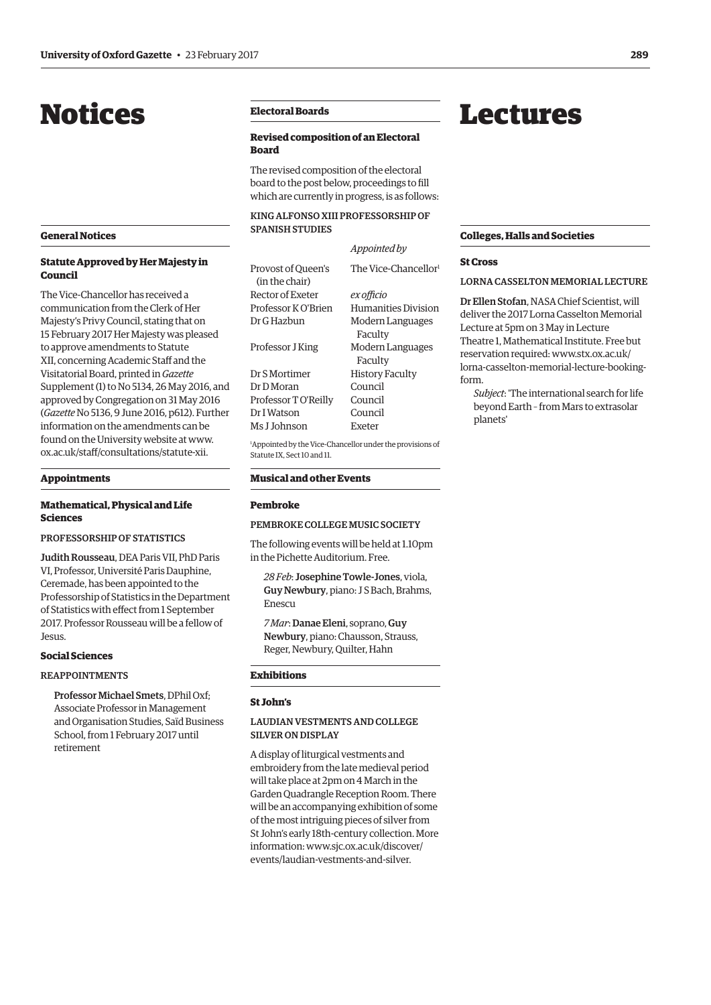# <span id="page-2-0"></span>Notices

## **General Notices**

# **Statute Approved by Her Majesty in Council**

The Vice-Chancellor has received a communication from the Clerk of Her Majesty's Privy Council, stating that on 15 February 2017 Her Majesty was pleased to approve amendments to Statute XII, concerning Academic Staff and the Visitatorial Board, printed in *Gazette* [Supplement \(1\) to No 5134, 26 May 2016,](http://www.ox.ac.uk/media/global/wwwoxacuk/localsites/gazette/documents/supplements2015-16/Voting_on_Legislative_Proposal_Statute_XII_(1)_to_No_5134.pdf) and approved by Congregation on 31 May 2016 (*Gazette* [No 5136, 9 June 2016, p612\)](http://www.ox.ac.uk/gazette/2015-2016/9june2016-no5136/councilandmaincommittees/#234267). Further information on the amendments can be found on the University website at [www.](http://www.ox.ac.uk/staff/consultations/statute-xii) [ox.ac.uk/staff/consultations/statute-xii.](http://www.ox.ac.uk/staff/consultations/statute-xii) 

# **Appointments**

# **Mathematical, Physical and Life Sciences**

# PROFESSORSHIP OF STATISTICS

Judith Rousseau, DEA Paris VII, PhD Paris VI, Professor, Université Paris Dauphine, Ceremade, has been appointed to the Professorship of Statistics in the Department of Statistics with effect from 1 September 2017. Professor Rousseau will be a fellow of Jesus.

#### **Social Sciences**

## REAPPOINTMENTS

Professor Michael Smets, DPhil Oxf; Associate Professor in Management and Organisation Studies, Saïd Business School, from 1 February 2017 until retirement

# **Electoral Boards**

# **Revised composition of an Electoral Board**

The revised composition of the electoral board to the post below, proceedings to fill which are currently in progress, is as follows:

# KING ALFONSO XIII PROFESSORSHIP OF SPANISH STUDIES

|                                      | Appointed by                     |
|--------------------------------------|----------------------------------|
| Provost of Oueen's<br>(in the chair) | The Vice-Chancellor <sup>1</sup> |
| Rector of Exeter                     | ex officio                       |
| Professor K O'Brien                  | Humanities Division              |
| Dr G Hazbun                          | Modern Languages<br>Faculty      |
| Professor J King                     | Modern Languages<br>Faculty      |
| Dr S Mortimer                        | <b>History Faculty</b>           |
| Dr D Moran                           | Council                          |
| Professor T O'Reilly                 | Council                          |
| Dr I Watson                          | Council                          |
| Ms J Johnson                         | Exeter                           |

1 Appointed by the Vice-Chancellor under the provisions of Statute IX, Sect 10 and 11.

# **Musical and other Events**

#### **Pembroke**

## PEMBROKE COLLEGE MUSIC SOCIETY

The following events will be held at 1.10pm in the Pichette Auditorium. Free.

*28 Feb*: Josephine Towle-Jones, viola, Guy Newbury, piano: J S Bach, Brahms, Enescu

*7 Mar*: Danae Eleni, soprano, Guy Newbury, piano: Chausson, Strauss, Reger, Newbury, Quilter, Hahn

#### **Exhibitions**

#### **St John's**

# LAUDIAN VESTMENTS AND COLLEGE SILVER ON DISPLAY

A display of liturgical vestments and embroidery from the late medieval period will take place at 2pm on 4 March in the Garden Quadrangle Reception Room. There will be an accompanying exhibition of some of the most intriguing pieces of silver from St John's early 18th-century collection. More [information: www.sjc.ox.ac.uk/discover/](www.sjc.ox.ac.uk/discover/events/laudian-vestments-and-silver) events/laudian-vestments-and-silver.

# Lectures

#### **Colleges, Halls and Societies**

#### **St Cross**

LORNA CASSELTON MEMORIAL LECTURE

Dr Ellen Stofan, NASA Chief Scientist, will deliver the 2017 Lorna Casselton Memorial Lecture at 5pm on 3 May in Lecture Theatre 1, Mathematical Institute. Free but reservation required: www.stx.ox.ac.uk/ [lorna-casselton-memorial-lecture-booking](www.stx.ox.ac.uk/lorna-casselton-memorial-lecture-booking-form)form.

*Subject*: 'The international search for life beyond Earth – from Mars to extrasolar planets'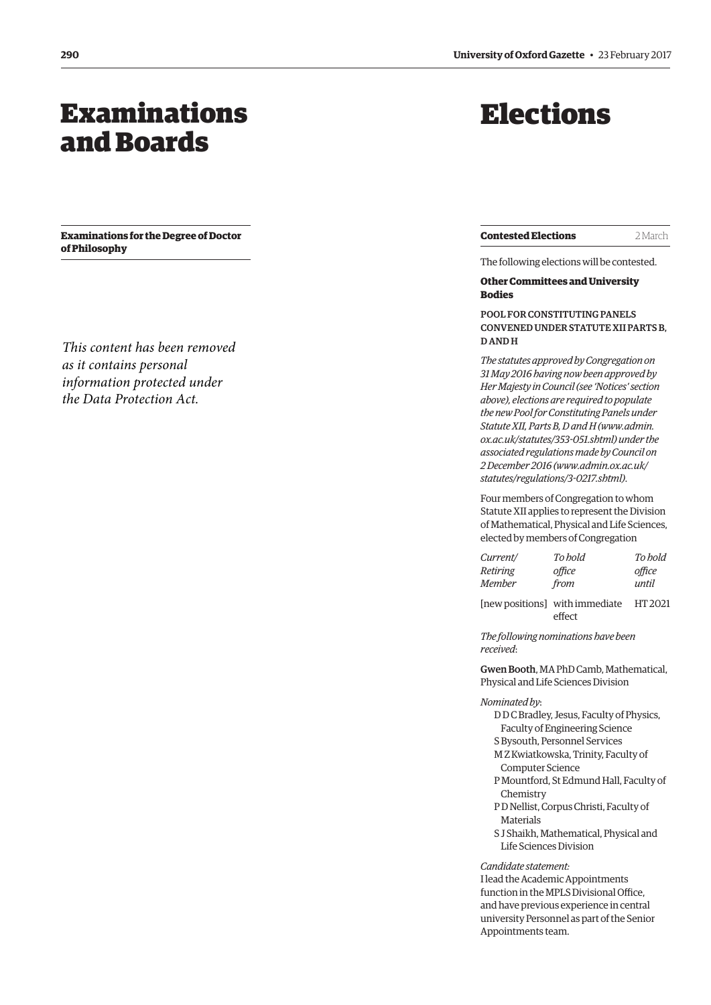# <span id="page-3-0"></span>Examinations and Boards

**Examinations for the Degree of Doctor of Philosophy**

*This content has been removed as it contains personal information protected under the Data Protection Act.*

# Elections

**Contested Elections** 2 March

The following elections will be contested.

# **Other Committees and University Bodies**

POOL FOR CONSTITUTING PANELS CONVENED UNDER STATUTE XII PARTS B, D AND H

*The statutes approved by Congregation on 31 May 2016 having now been approved by Her Majesty in Council (see 'Notices' section above), elections are required to populate the new Pool for Constituting Panels under Statute XII, Parts B, D and H [\(www.admin.](http://www.admin.ox.ac.uk/statutes/353-051.shtml) [ox.ac.uk/statutes/353-051.shtml\) un](http://www.admin.ox.ac.uk/statutes/353-051.shtml)der the associated regulations made by Council on 2 December 2016 [\(www.admin.ox.ac.uk/](http://www.admin.ox.ac.uk/statutes/regulations/3-0217.shtml) [statutes/regulations/3-0217.shtml\)](http://www.admin.ox.ac.uk/statutes/regulations/3-0217.shtml)*.

Four members of Congregation to whom Statute XII applies to represent the Division of Mathematical, Physical and Life Sciences, elected by members of Congregation

| Current/ | To hold | To hold |
|----------|---------|---------|
| Retiring | office  | office  |
| Member   | from    | until   |

[new positions] with immediate HT 2021 effect

*The following nominations have been received*:

Gwen Booth, MA PhD Camb, Mathematical, Physical and Life Sciences Division

*Nominated by*:

D D C Bradley, Jesus, Faculty of Physics, Faculty of Engineering Science S Bysouth, Personnel Services M Z Kwiatkowska, Trinity, Faculty of Computer Science

P Mountford, St Edmund Hall, Faculty of Chemistry

P D Nellist, Corpus Christi, Faculty of Materials

S J Shaikh, Mathematical, Physical and Life Sciences Division

*Candidate statement:*

I lead the Academic Appointments function in the MPLS Divisional Office, and have previous experience in central university Personnel as part of the Senior Appointments team.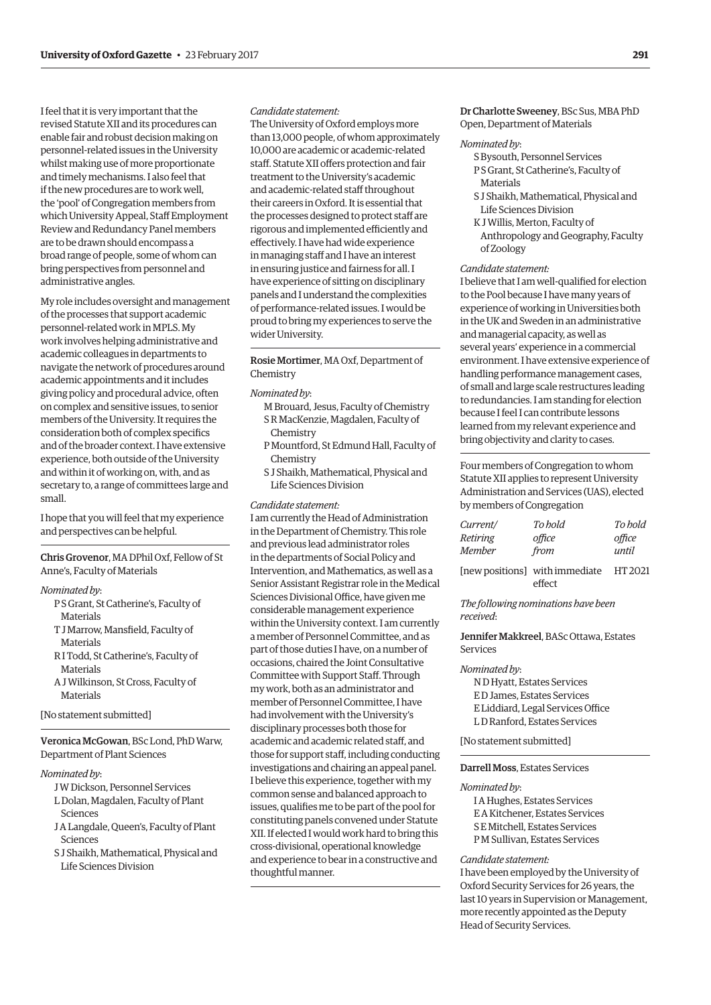I feel that it is very important that the revised Statute XII and its procedures can enable fair and robust decision making on personnel-related issues in the University whilst making use of more proportionate and timely mechanisms. I also feel that if the new procedures are to work well, the 'pool' of Congregation members from which University Appeal, Staff Employment Review and Redundancy Panel members are to be drawn should encompass a broad range of people, some of whom can bring perspectives from personnel and administrative angles.

My role includes oversight and management of the processes that support academic personnel-related work in MPLS. My work involves helping administrative and academic colleagues in departments to navigate the network of procedures around academic appointments and it includes giving policy and procedural advice, often on complex and sensitive issues, to senior members of the University. It requires the consideration both of complex specifics and of the broader context. I have extensive experience, both outside of the University and within it of working on, with, and as secretary to, a range of committees large and small.

I hope that you will feel that my experience and perspectives can be helpful.

Chris Grovenor, MA DPhil Oxf, Fellow of St Anne's, Faculty of Materials

#### *Nominated by*:

- P S Grant, St Catherine's, Faculty of Materials
- T J Marrow, Mansfield, Faculty of Materials
- R I Todd, St Catherine's, Faculty of Materials
- A J Wilkinson, St Cross, Faculty of Materials

## [No statement submitted]

Veronica McGowan, BSc Lond, PhD Warw, Department of Plant Sciences

#### *Nominated by*:

- J W Dickson, Personnel Services
- L Dolan, Magdalen, Faculty of Plant Sciences
- J A Langdale, Queen's, Faculty of Plant Sciences
- S J Shaikh, Mathematical, Physical and Life Sciences Division

# *Candidate statement:*

The University of Oxford employs more than 13,000 people, of whom approximately 10,000 are academic or academic-related staff. Statute XII offers protection and fair treatment to the University's academic and academic-related staff throughout their careers in Oxford. It is essential that the processes designed to protect staff are rigorous and implemented efficiently and effectively. I have had wide experience in managing staff and I have an interest in ensuring justice and fairness for all. I have experience of sitting on disciplinary panels and I understand the complexities of performance-related issues. I would be proud to bring my experiences to serve the wider University.

# Rosie Mortimer, MA Oxf, Department of Chemistry

#### *Nominated by*:

- M Brouard, Jesus, Faculty of Chemistry S R MacKenzie, Magdalen, Faculty of Chemistry
- P Mountford, St Edmund Hall, Faculty of **Chemistry**
- S J Shaikh, Mathematical, Physical and Life Sciences Division

#### *Candidate statement:*

I am currently the Head of Administration in the Department of Chemistry. This role and previous lead administrator roles in the departments of Social Policy and Intervention, and Mathematics, as well as a Senior Assistant Registrar role in the Medical Sciences Divisional Office, have given me considerable management experience within the University context. I am currently a member of Personnel Committee, and as part of those duties I have, on a number of occasions, chaired the Joint Consultative Committee with Support Staff. Through my work, both as an administrator and member of Personnel Committee, I have had involvement with the University's disciplinary processes both those for academic and academic related staff, and those for support staff, including conducting investigations and chairing an appeal panel. I believe this experience, together with my common sense and balanced approach to issues, qualifies me to be part of the pool for constituting panels convened under Statute XII. If elected I would work hard to bring this cross-divisional, operational knowledge and experience to bear in a constructive and thoughtful manner.

# Dr Charlotte Sweeney, BSc Sus, MBA PhD Open, Department of Materials

#### *Nominated by*:

- S Bysouth, Personnel Services
- P S Grant, St Catherine's, Faculty of **Materials**
- S J Shaikh, Mathematical, Physical and Life Sciences Division
- K J Willis, Merton, Faculty of Anthropology and Geography, Faculty of Zoology

#### *Candidate statement:*

I believe that I am well-qualified for election to the Pool because I have many years of experience of working in Universities both in the UK and Sweden in an administrative and managerial capacity, as well as several years' experience in a commercial environment. I have extensive experience of handling performance management cases, of small and large scale restructures leading to redundancies. I am standing for election because I feel I can contribute lessons learned from my relevant experience and bring objectivity and clarity to cases.

Four members of Congregation to whom Statute XII applies to represent University Administration and Services (UAS), elected by members of Congregation

| Current/ | To hold                        | To hold |
|----------|--------------------------------|---------|
| Retiring | office                         | office  |
| Member   | from                           | until   |
|          | [new positions] with immediate | HT 2021 |

effect

# *The following nominations have been received*:

Jennifer Makkreel, BASc Ottawa, Estates Services

#### *Nominated by*:

N D Hyatt, Estates Services E D James, Estates Services E Liddiard, Legal Services Office L D Ranford, Estates Services

[No statement submitted]

## Darrell Moss, Estates Services

#### *Nominated by*:

I A Hughes, Estates Services E A Kitchener, Estates Services S E Mitchell, Estates Services P M Sullivan, Estates Services

#### *Candidate statement:*

I have been employed by the University of Oxford Security Services for 26 years, the last 10 years in Supervision or Management, more recently appointed as the Deputy Head of Security Services.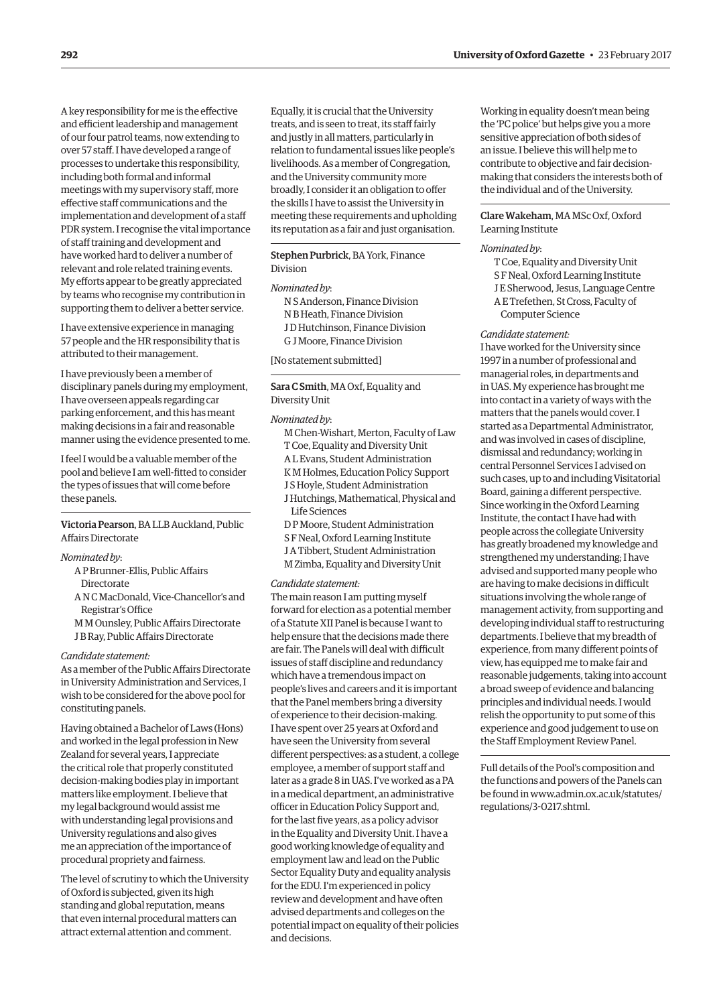A key responsibility for me is the effective and efficient leadership and management of our four patrol teams, now extending to over 57 staff. I have developed a range of processes to undertake this responsibility, including both formal and informal meetings with my supervisory staff, more effective staff communications and the implementation and development of a staff PDR system. I recognise the vital importance of staff training and development and have worked hard to deliver a number of relevant and role related training events. My efforts appear to be greatly appreciated by teams who recognise my contribution in supporting them to deliver a better service.

I have extensive experience in managing 57 people and the HR responsibility that is attributed to their management.

I have previously been a member of disciplinary panels during my employment, I have overseen appeals regarding car parking enforcement, and this has meant making decisions in a fair and reasonable manner using the evidence presented to me.

I feel I would be a valuable member of the pool and believe I am well-fitted to consider the types of issues that will come before these panels.

# Victoria Pearson, BA LLB Auckland, Public Affairs Directorate

# *Nominated by*:

- A P Brunner-Ellis, Public Affairs **Directorate**
- A N C MacDonald, Vice-Chancellor's and Registrar's Office
- M M Ounsley, Public Affairs Directorate J B Ray, Public Affairs Directorate

#### *Candidate statement:*

As a member of the Public Affairs Directorate in University Administration and Services, I wish to be considered for the above pool for constituting panels.

Having obtained a Bachelor of Laws (Hons) and worked in the legal profession in New Zealand for several years, I appreciate the critical role that properly constituted decision-making bodies play in important matters like employment. I believe that my legal background would assist me with understanding legal provisions and University regulations and also gives me an appreciation of the importance of procedural propriety and fairness.

The level of scrutiny to which the University of Oxford is subjected, given its high standing and global reputation, means that even internal procedural matters can attract external attention and comment.

Equally, it is crucial that the University treats, and is seen to treat, its staff fairly and justly in all matters, particularly in relation to fundamental issues like people's livelihoods. As a member of Congregation, and the University community more broadly, I consider it an obligation to offer the skills I have to assist the University in meeting these requirements and upholding its reputation as a fair and just organisation.

# Stephen Purbrick, BA York, Finance Division

#### *Nominated by*:

N S Anderson, Finance Division N B Heath, Finance Division J D Hutchinson, Finance Division G J Moore, Finance Division

[No statement submitted]

Sara C Smith, MA Oxf, Equality and Diversity Unit

#### *Nominated by*:

- M Chen-Wishart, Merton, Faculty of Law T Coe, Equality and Diversity Unit A L Evans, Student Administration
- K M Holmes, Education Policy Support J S Hoyle, Student Administration
- J Hutchings, Mathematical, Physical and
- Life Sciences
- D P Moore, Student Administration S F Neal, Oxford Learning Institute J A Tibbert, Student Administration
- M Zimba, Equality and Diversity Unit

# *Candidate statement:*

The main reason I am putting myself forward for election as a potential member of a Statute XII Panel is because I want to help ensure that the decisions made there are fair. The Panels will deal with difficult issues of staff discipline and redundancy which have a tremendous impact on people's lives and careers and it is important that the Panel members bring a diversity of experience to their decision-making. I have spent over 25 years at Oxford and have seen the University from several different perspectives: as a student, a college employee, a member of support staff and later as a grade 8 in UAS. I've worked as a PA in a medical department, an administrative officer in Education Policy Support and, for the last five years, as a policy advisor in the Equality and Diversity Unit. I have a good working knowledge of equality and employment law and lead on the Public Sector Equality Duty and equality analysis for the EDU. I'm experienced in policy review and development and have often advised departments and colleges on the potential impact on equality of their policies and decisions.

Working in equality doesn't mean being the 'PC police' but helps give you a more sensitive appreciation of both sides of an issue. I believe this will help me to contribute to objective and fair decisionmaking that considers the interests both of the individual and of the University.

# Clare Wakeham, MA MSc Oxf, Oxford Learning Institute

# *Nominated by*:

- T Coe, Equality and Diversity Unit
- S F Neal, Oxford Learning Institute
- J E Sherwood, Jesus, Language Centre
- A E Trefethen, St Cross, Faculty of Computer Science

# *Candidate statement:*

I have worked for the University since 1997 in a number of professional and managerial roles, in departments and in UAS. My experience has brought me into contact in a variety of ways with the matters that the panels would cover. I started as a Departmental Administrator, and was involved in cases of discipline, dismissal and redundancy; working in central Personnel Services I advised on such cases, up to and including Visitatorial Board, gaining a different perspective. Since working in the Oxford Learning Institute, the contact I have had with people across the collegiate University has greatly broadened my knowledge and strengthened my understanding; I have advised and supported many people who are having to make decisions in difficult situations involving the whole range of management activity, from supporting and developing individual staff to restructuring departments. I believe that my breadth of experience, from many different points of view, has equipped me to make fair and reasonable judgements, taking into account a broad sweep of evidence and balancing principles and individual needs. I would relish the opportunity to put some of this experience and good judgement to use on the Staff Employment Review Panel.

Full details of the Pool's composition and the functions and powers of the Panels can [be found in www.admin.ox.ac.uk/statutes/](www.admin.ox.ac.uk/statutes/regulations/3-0217.shtml) regulations/3-0217.shtml.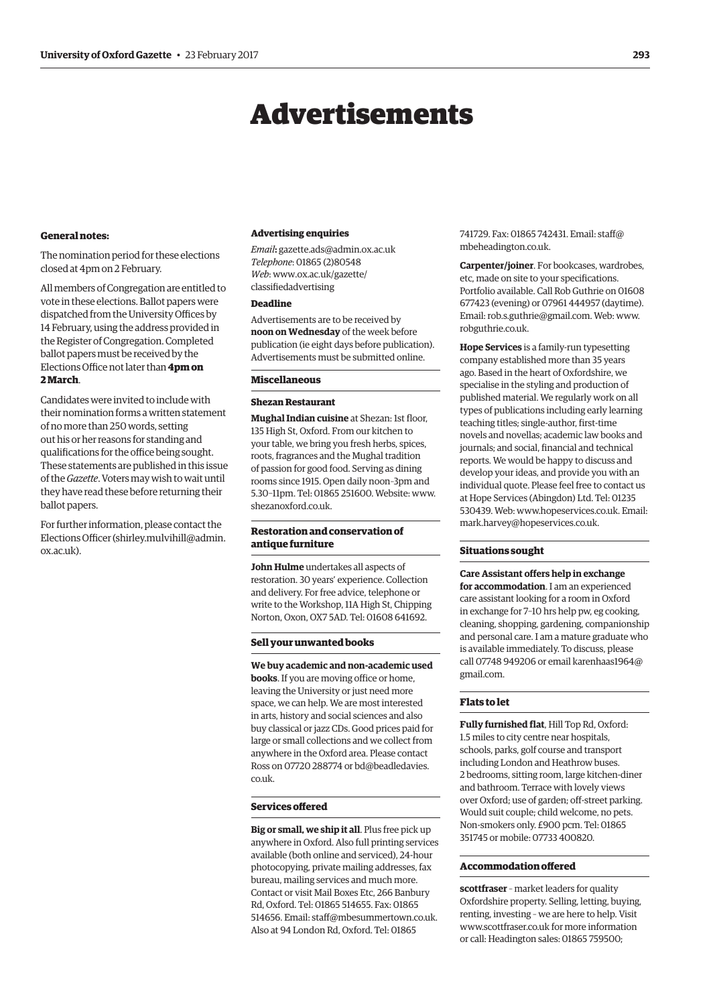# Advertisements

#### <span id="page-6-0"></span>**General notes:**

The nomination period for these elections closed at 4pm on 2 February.

All members of Congregation are entitled to vote in these elections. Ballot papers were dispatched from the University Offices by 14 February, using the address provided in the Register of Congregation. Completed ballot papers must be received by the Elections Office not later than **4pm on 2 March**.

Candidates were invited to include with their nomination forms a written statement of no more than 250 words, setting out his or her reasons for standing and qualifications for the office being sought. These statements are published in this issue of the *Gazette*. Voters may wish to wait until they have read these before returning their ballot papers.

For further information, please contact the Elections Officer [\(shirley.mulvihill@admin.](mailto:shirley.mulvihill@admin.ox.ac.uk) [ox.ac.uk\).](mailto:shirley.mulvihill@admin.ox.ac.uk)

#### **Advertising enquiries**

*Email***:** [gazette.ads@admin.ox.ac.uk](mailto:gazette.ads@admin.ox.ac.uk) *Telephone*: 01865 (2)80548 *Web*[: www.ox.ac.uk/gazette/](www.ox.ac.uk/gazette/classifiedadvertising) classifiedadvertising

# **Deadline**

Advertisements are to be received by **noon on Wednesday** of the week before publication (ie eight days before publication). Advertisements must be submitted online.

#### **Miscellaneous**

### **Shezan Restaurant**

**Mughal Indian cuisine** at Shezan: 1st floor, 135 High St, Oxford. From our kitchen to your table, we bring you fresh herbs, spices, roots, fragrances and the Mughal tradition of passion for good food. Serving as dining rooms since 1915. Open daily noon–3pm and 5.30–11pm. Tel: 01865 251600. Website: [www.](http://www.shezanoxford.co.uk) [shezanoxford.co.uk.](http://www.shezanoxford.co.uk)

# **Restoration and conservation of antique furniture**

**John Hulme** undertakes all aspects of restoration. 30 years' experience. Collection and delivery. For free advice, telephone or write to the Workshop, 11A High St, Chipping Norton, Oxon, OX7 5AD. Tel: 01608 641692.

#### **Sell your unwanted books**

**We buy academic and non-academic used books**. If you are moving office or home, leaving the University or just need more space, we can help. We are most interested in arts, history and social sciences and also buy classical or jazz CDs. Good prices paid for large or small collections and we collect from anywhere in the Oxford area. Please contact [Ross on 07720 288774 or bd@beadledavies.](mailto:bd@beadledavies.co.uk) co.uk.

# **Services offered**

**Big or small, we ship it all**. Plus free pick up anywhere in Oxford. Also full printing services available (both online and serviced), 24-hour photocopying, private mailing addresses, fax bureau, mailing services and much more. Contact or visit Mail Boxes Etc, 266 Banbury Rd, Oxford. Tel: 01865 514655. Fax: 01865 514656. Email: [staff@mbesummertown.co.uk.](mailto:staff@mbesummertown.co.uk)  Also at 94 London Rd, Oxford. Tel: 01865

[741729. Fax: 01865 742431. Email: staff@](mailto:staff@mbeheadington.co.uk) mbeheadington.co.uk.

**Carpenter/joiner**. For bookcases, wardrobes, etc, made on site to your specifications. Portfolio available. Call Rob Guthrie on 01608 677423 (evening) or 07961 444957 (daytime). Email: [rob.s.guthrie@gmail.com. W](mailto:rob.s.guthrie@gmail.com)eb: [www.](http://www.robguthrie.co.uk) [robguthrie.co.uk.](http://www.robguthrie.co.uk)

**Hope Services** is a family-run typesetting company established more than 35 years ago. Based in the heart of Oxfordshire, we specialise in the styling and production of published material. We regularly work on all types of publications including early learning teaching titles; single-author, first-time novels and novellas; academic law books and journals; and social, financial and technical reports. We would be happy to discuss and develop your ideas, and provide you with an individual quote. Please feel free to contact us at Hope Services (Abingdon) Ltd. Tel: 01235 530439. Web: [www.hopeservices.co.uk. Em](http://www.hopeservices.co.uk)ail: [mark.harvey@hopeservices.co.uk.](mailto:mark.harvey@hopeservices.co.uk)

#### **Situations sought**

**Care Assistant offers help in exchange for accommodation**. I am an experienced care assistant looking for a room in Oxford in exchange for 7–10 hrs help pw, eg cooking, cleaning, shopping, gardening, companionship and personal care. I am a mature graduate who is available immediately. To discuss, please [call 07748 949206 or email karenhaas1964@](mailto:karenhaas1964@gmail.com) gmail.com.

## **Flats to let**

**Fully furnished flat**, Hill Top Rd, Oxford: 1.5 miles to city centre near hospitals, schools, parks, golf course and transport including London and Heathrow buses. 2 bedrooms, sitting room, large kitchen-diner and bathroom. Terrace with lovely views over Oxford; use of garden; off-street parking. Would suit couple; child welcome, no pets. Non-smokers only. £900 pcm. Tel: 01865 351745 or mobile: 07733 400820.

# **Accommodation offered**

**scottfraser** – market leaders for quality Oxfordshire property. Selling, letting, buying, renting, investing – we are here to help. Visit [www.scottfraser.co.uk fo](http://www.scottfraser.co.uk)r more information or call: Headington sales: 01865 759500;